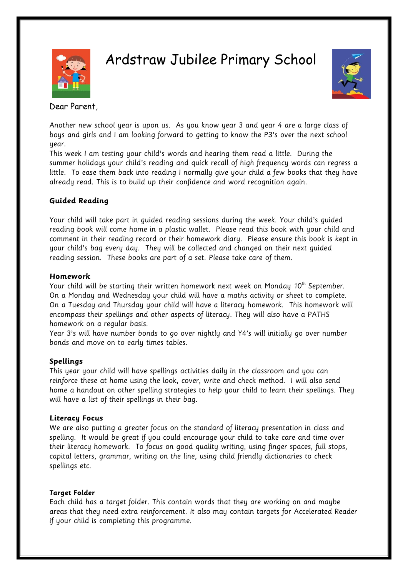

Ardstraw Jubilee Primary School



Dear Parent,

Another new school year is upon us. As you know year 3 and year 4 are a large class of boys and girls and I am looking forward to getting to know the P3's over the next school year.

This week I am testing your child's words and hearing them read a little. During the summer holidays your child's reading and quick recall of high frequency words can regress a little. To ease them back into reading I normally give your child a few books that they have already read. This is to build up their confidence and word recognition again.

# **Guided Reading**

Your child will take part in guided reading sessions during the week. Your child's guided reading book will come home in a plastic wallet. Please read this book with your child and comment in their reading record or their homework diary. Please ensure this book is kept in your child's bag every day. They will be collected and changed on their next guided reading session. These books are part of a set. Please take care of them.

### **Homework**

Your child will be starting their written homework next week on Monday  $10^{th}$  September. On a Monday and Wednesday your child will have a maths activity or sheet to complete. On a Tuesday and Thursday your child will have a literacy homework. This homework will encompass their spellings and other aspects of literacy. They will also have a PATHS homework on a regular basis.

Year 3's will have number bonds to go over nightly and Y4's will initially go over number bonds and move on to early times tables.

# **Spellings**

This year your child will have spellings activities daily in the classroom and you can reinforce these at home using the look, cover, write and check method. I will also send home a handout on other spelling strategies to help your child to learn their spellings. They will have a list of their spellings in their bag.

### **Literacy Focus**

We are also putting a greater focus on the standard of literacy presentation in class and spelling. It would be great if you could encourage your child to take care and time over their literacy homework. To focus on good quality writing, using finger spaces, full stops, capital letters, grammar, writing on the line, using child friendly dictionaries to check spellings etc.

# **Target Folder**

Each child has a target folder. This contain words that they are working on and maybe areas that they need extra reinforcement. It also may contain targets for Accelerated Reader if your child is completing this programme.